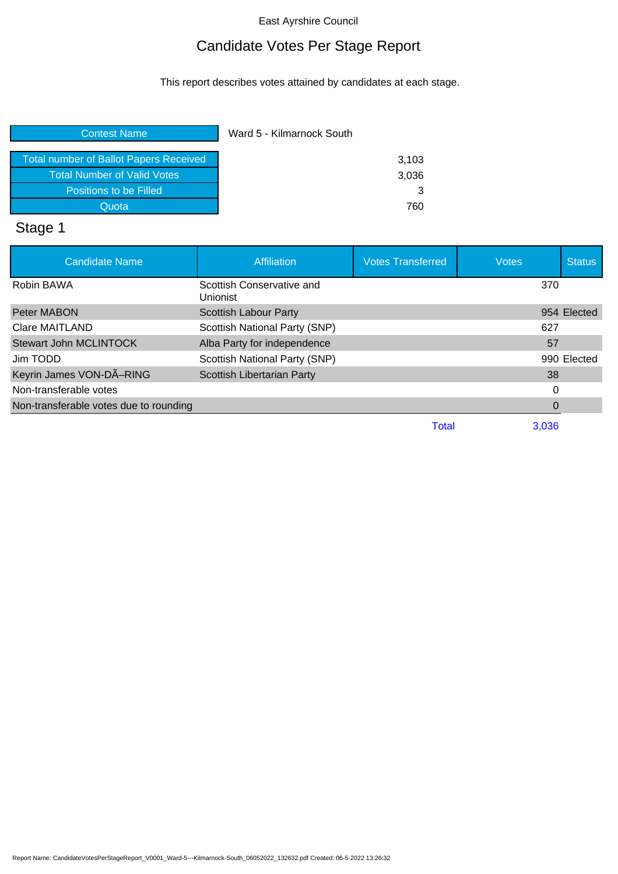### East Ayrshire Council

## Candidate Votes Per Stage Report

This report describes votes attained by candidates at each stage.

| 3,103 |
|-------|
| 3,036 |
| 3     |
| 760   |
|       |

# Stage 1

| <b>Candidate Name</b>                  | <b>Affiliation</b>                    | <b>Votes Transferred</b> | <b>Votes</b> | <b>Status</b> |
|----------------------------------------|---------------------------------------|--------------------------|--------------|---------------|
| Robin BAWA                             | Scottish Conservative and<br>Unionist |                          | 370          |               |
| Peter MABON                            | Scottish Labour Party                 |                          |              | 954 Elected   |
| Clare MAITLAND                         | Scottish National Party (SNP)         |                          | 627          |               |
| <b>Stewart John MCLINTOCK</b>          | Alba Party for independence           |                          | 57           |               |
| Jim TODD                               | Scottish National Party (SNP)         |                          |              | 990 Elected   |
| Keyrin James VON-DÃ-RING               | Scottish Libertarian Party            |                          | 38           |               |
| Non-transferable votes                 |                                       |                          | 0            |               |
| Non-transferable votes due to rounding |                                       |                          |              |               |
|                                        |                                       | Total                    | 3,036        |               |